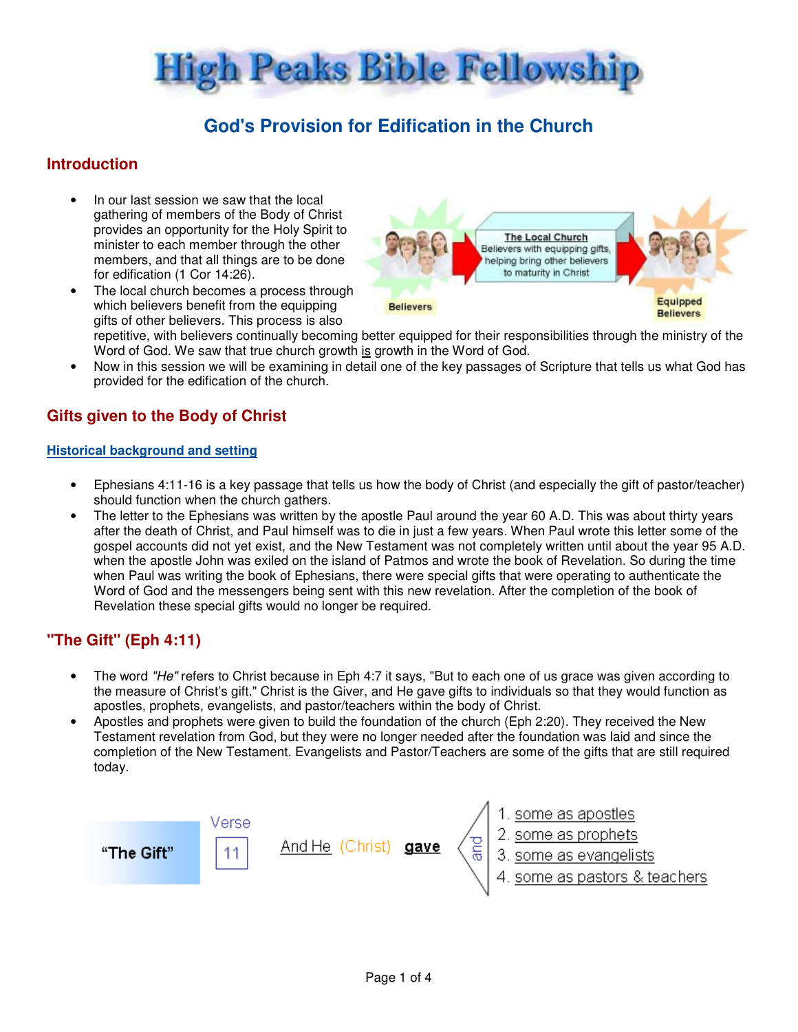

# **God's Provision for Edification in the Church**

### **Introduction**

- In our last session we saw that the local gathering of members of the Body of Christ provides an opportunity for the Holy Spirit to minister to each member through the other members, and that all things are to be done for edification (1 Cor 14:26).
- The local church becomes a process through which believers benefit from the equipping gifts of other believers. This process is also

The Local Church Believers with equipping gifts, helping bring other believers to maturity in Christ Equipped **Believers Believers** 

repetitive, with believers continually becoming better equipped for their responsibilities through the ministry of the Word of God. We saw that true church growth is growth in the Word of God.

• Now in this session we will be examining in detail one of the key passages of Scripture that tells us what God has provided for the edification of the church.

#### **Gifts given to the Body of Christ**

#### **Historical background and setting**

- Ephesians 4:11-16 is a key passage that tells us how the body of Christ (and especially the gift of pastor/teacher) should function when the church gathers.
- The letter to the Ephesians was written by the apostle Paul around the year 60 A.D. This was about thirty years after the death of Christ, and Paul himself was to die in just a few years. When Paul wrote this letter some of the gospel accounts did not yet exist, and the New Testament was not completely written until about the year 95 A.D. when the apostle John was exiled on the island of Patmos and wrote the book of Revelation. So during the time when Paul was writing the book of Ephesians, there were special gifts that were operating to authenticate the Word of God and the messengers being sent with this new revelation. After the completion of the book of Revelation these special gifts would no longer be required.

### **"The Gift" (Eph 4:11)**

- The word "He" refers to Christ because in Eph 4:7 it says. "But to each one of us grace was given according to the measure of Christ's gift." Christ is the Giver, and He gave gifts to individuals so that they would function as apostles, prophets, evangelists, and pastor/teachers within the body of Christ.
- Apostles and prophets were given to build the foundation of the church (Eph 2:20). They received the New Testament revelation from God, but they were no longer needed after the foundation was laid and since the completion of the New Testament. Evangelists and Pastor/Teachers are some of the gifts that are still required today.

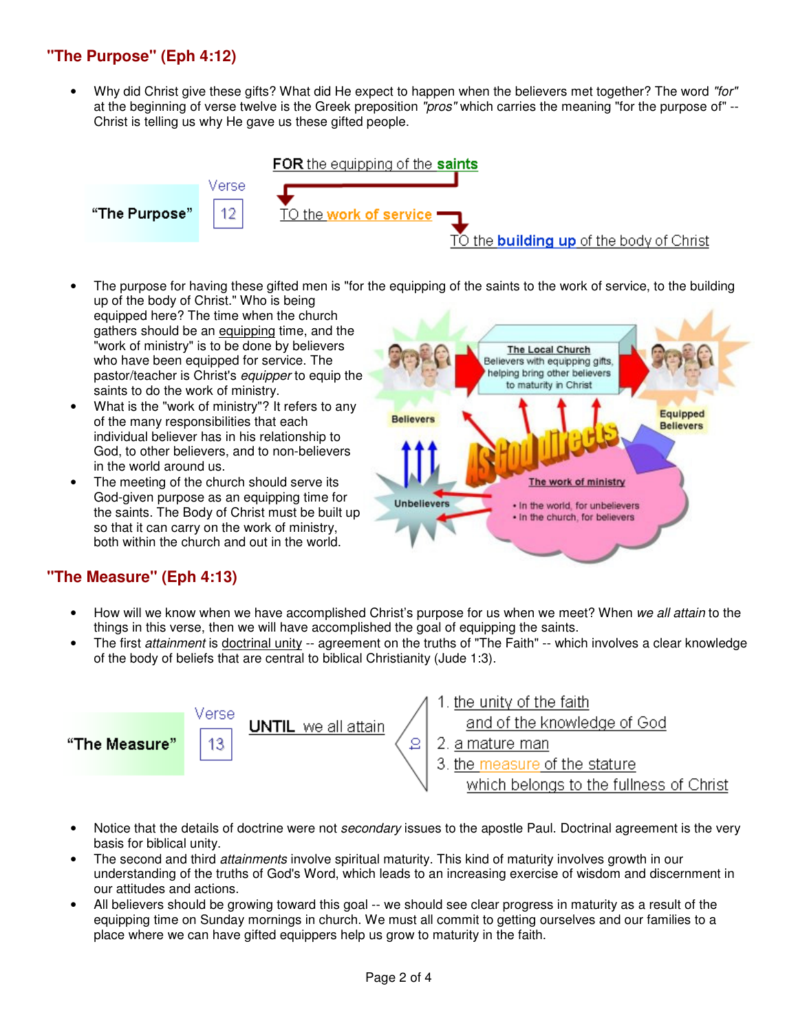# **"The Purpose" (Eph 4:12)**

Why did Christ give these gifts? What did He expect to happen when the believers met together? The word "for" at the beginning of verse twelve is the Greek preposition "pros" which carries the meaning "for the purpose of" --Christ is telling us why He gave us these gifted people.



- The purpose for having these gifted men is "for the equipping of the saints to the work of service, to the building up of the body of Christ." Who is being
- equipped here? The time when the church gathers should be an equipping time, and the "work of ministry" is to be done by believers who have been equipped for service. The pastor/teacher is Christ's equipper to equip the saints to do the work of ministry.
- What is the "work of ministry"? It refers to any of the many responsibilities that each individual believer has in his relationship to God, to other believers, and to non-believers in the world around us.
- The meeting of the church should serve its God-given purpose as an equipping time for the saints. The Body of Christ must be built up so that it can carry on the work of ministry, both within the church and out in the world.



## **"The Measure" (Eph 4:13)**

- How will we know when we have accomplished Christ's purpose for us when we meet? When we all attain to the things in this verse, then we will have accomplished the goal of equipping the saints.
- The first attainment is doctrinal unity -- agreement on the truths of "The Faith" -- which involves a clear knowledge of the body of beliefs that are central to biblical Christianity (Jude 1:3).



- Notice that the details of doctrine were not *secondary* issues to the apostle Paul. Doctrinal agreement is the very basis for biblical unity.
- The second and third *attainments* involve spiritual maturity. This kind of maturity involves growth in our understanding of the truths of God's Word, which leads to an increasing exercise of wisdom and discernment in our attitudes and actions.
- All believers should be growing toward this goal -- we should see clear progress in maturity as a result of the equipping time on Sunday mornings in church. We must all commit to getting ourselves and our families to a place where we can have gifted equippers help us grow to maturity in the faith.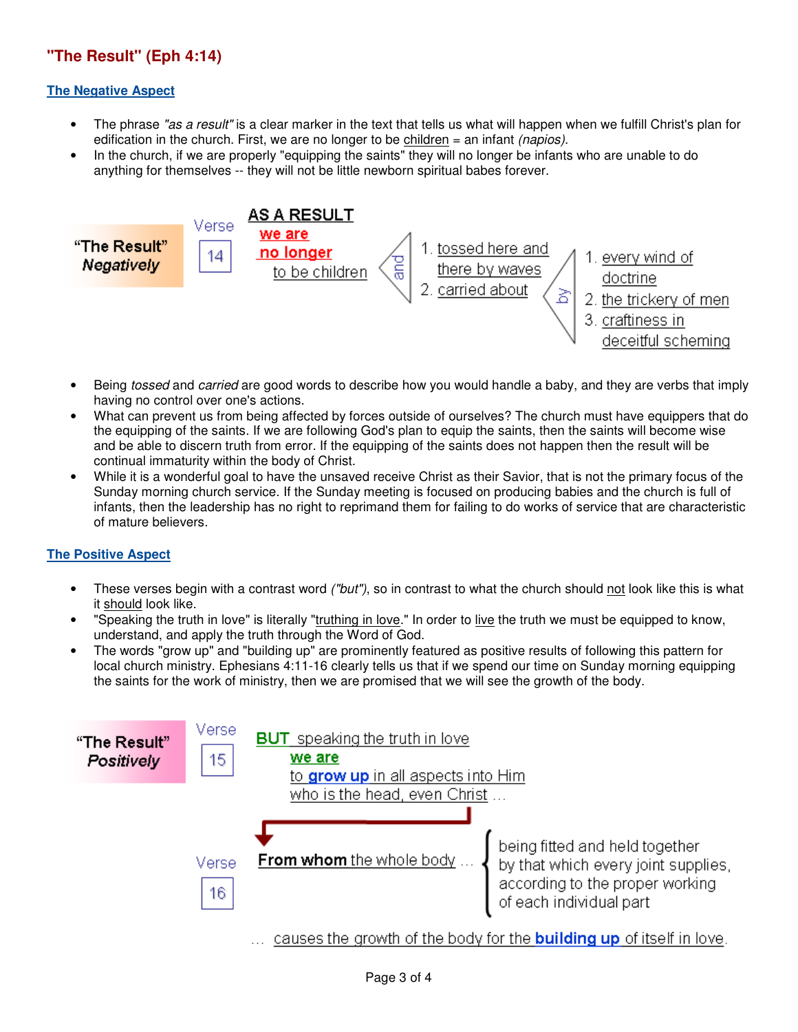# **"The Result" (Eph 4:14)**

#### **The Negative Aspect**

- The phrase "as a result" is a clear marker in the text that tells us what will happen when we fulfill Christ's plan for edification in the church. First, we are no longer to be children  $=$  an infant *(napios)*.
- In the church, if we are properly "equipping the saints" they will no longer be infants who are unable to do anything for themselves -- they will not be little newborn spiritual babes forever.



- Being tossed and carried are good words to describe how you would handle a baby, and they are verbs that imply having no control over one's actions.
- What can prevent us from being affected by forces outside of ourselves? The church must have equippers that do the equipping of the saints. If we are following God's plan to equip the saints, then the saints will become wise and be able to discern truth from error. If the equipping of the saints does not happen then the result will be continual immaturity within the body of Christ.
- While it is a wonderful goal to have the unsaved receive Christ as their Savior, that is not the primary focus of the Sunday morning church service. If the Sunday meeting is focused on producing babies and the church is full of infants, then the leadership has no right to reprimand them for failing to do works of service that are characteristic of mature believers.

#### **The Positive Aspect**

- These verses begin with a contrast word ("but"), so in contrast to what the church should not look like this is what it should look like.
- "Speaking the truth in love" is literally "truthing in love." In order to live the truth we must be equipped to know, understand, and apply the truth through the Word of God.
- The words "grow up" and "building up" are prominently featured as positive results of following this pattern for local church ministry. Ephesians 4:11-16 clearly tells us that if we spend our time on Sunday morning equipping the saints for the work of ministry, then we are promised that we will see the growth of the body.